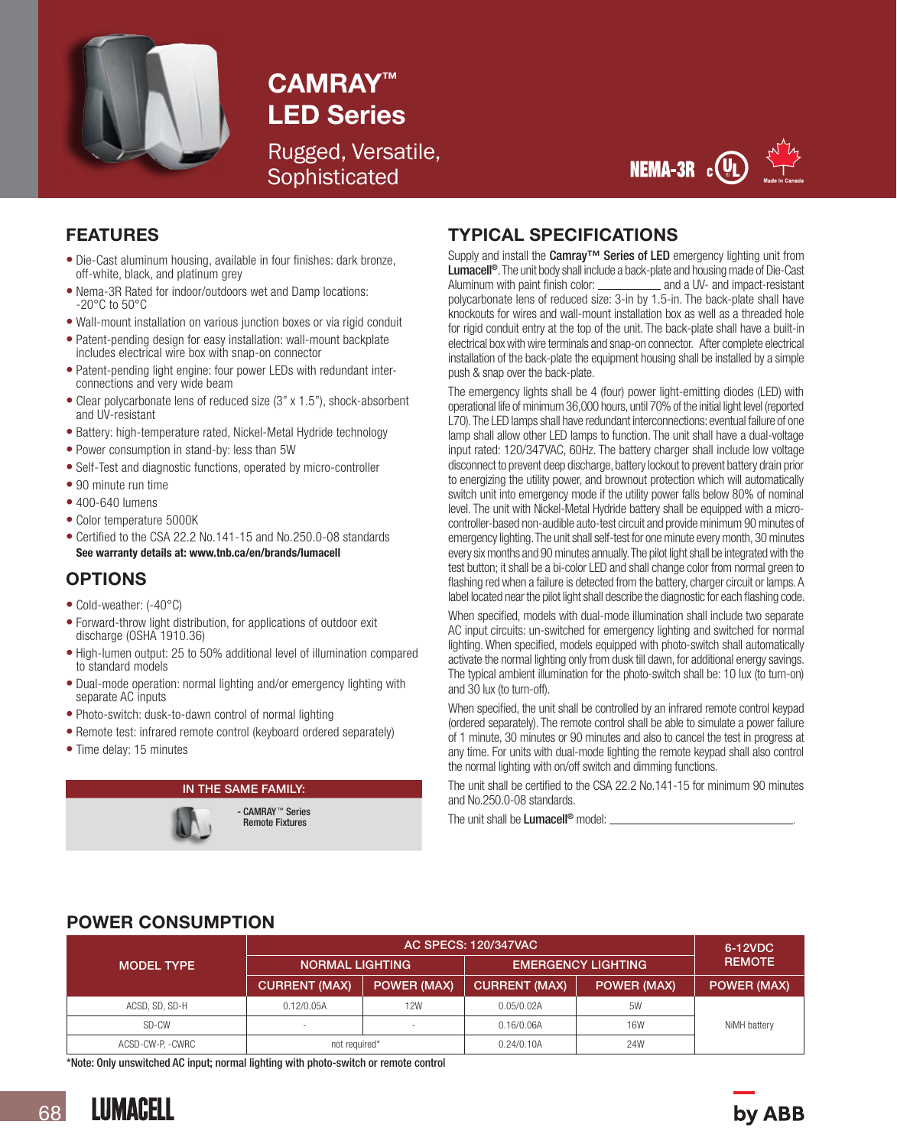

# CAMRAY™ LED Series

Rugged, Versatile, **Sophisticated** 



#### FEATURES

- Die-Cast aluminum housing, available in four finishes: dark bronze, off-white, black, and platinum grey
- Nema-3R Rated for indoor/outdoors wet and Damp locations: -20°C to 50°C
- Wall-mount installation on various junction boxes or via rigid conduit
- Patent-pending design for easy installation: wall-mount backplate includes electrical wire box with snap-on connector
- Patent-pending light engine: four power LEDs with redundant interconnections and very wide beam
- Clear polycarbonate lens of reduced size (3" x 1.5"), shock-absorbent and UV-resistant
- Battery: high-temperature rated, Nickel-Metal Hydride technology
- Power consumption in stand-by: less than 5W
- Self-Test and diagnostic functions, operated by micro-controller
- 90 minute run time
- 400-640 lumens
- Color temperature 5000K
- Certified to the CSA 22.2 No.141-15 and No.250.0-08 standards See warranty details at: www.tnb.ca/en/brands/lumacell

## OPTIONS

- Cold-weather: (-40°C)
- Forward-throw light distribution, for applications of outdoor exit discharge (OSHA 1910.36)
- High-lumen output: 25 to 50% additional level of illumination compared to standard models
- Dual-mode operation: normal lighting and/or emergency lighting with separate AC inputs
- Photo-switch: dusk-to-dawn control of normal lighting
- Remote test: infrared remote control (keyboard ordered separately)
- Time delay: 15 minutes

## IN THE SAME FAMILY:



## TYPICAL SPECIFICATIONS

Supply and install the Camray™ Series of LED emergency lighting unit from Lumacell<sup>®</sup>. The unit body shall include a back-plate and housing made of Die-Cast<br>Aluminum with paint finish color: \_\_\_\_\_\_\_\_\_\_\_\_\_\_ and a UV- and impact-resistant Aluminum with paint finish color:  $\_\_$ polycarbonate lens of reduced size: 3-in by 1.5-in. The back-plate shall have knockouts for wires and wall-mount installation box as well as a threaded hole for rigid conduit entry at the top of the unit. The back-plate shall have a built-in electrical box with wire terminals and snap-on connector. After complete electrical installation of the back-plate the equipment housing shall be installed by a simple push & snap over the back-plate.

The emergency lights shall be 4 (four) power light-emitting diodes (LED) with operational life of minimum 36,000 hours, until 70% of the initial light level (reported L70). The LED lamps shall have redundant interconnections: eventual failure of one lamp shall allow other LED lamps to function. The unit shall have a dual-voltage input rated: 120/347VAC, 60Hz. The battery charger shall include low voltage disconnect to prevent deep discharge, battery lockout to prevent battery drain prior to energizing the utility power, and brownout protection which will automatically switch unit into emergency mode if the utility power falls below 80% of nominal level. The unit with Nickel-Metal Hydride battery shall be equipped with a microcontroller-based non-audible auto-test circuit and provide minimum 90 minutes of emergency lighting. The unit shall self-test for one minute every month, 30 minutes every six months and 90 minutes annually. The pilot light shall be integrated with the test button; it shall be a bi-color LED and shall change color from normal green to flashing red when a failure is detected from the battery, charger circuit or lamps. A label located near the pilot light shall describe the diagnostic for each flashing code.

When specified, models with dual-mode illumination shall include two separate AC input circuits: un-switched for emergency lighting and switched for normal lighting. When specified, models equipped with photo-switch shall automatically activate the normal lighting only from dusk till dawn, for additional energy savings. The typical ambient illumination for the photo-switch shall be: 10 lux (to turn-on) and 30 lux (to turn-off).

When specified, the unit shall be controlled by an infrared remote control keypad (ordered separately). The remote control shall be able to simulate a power failure of 1 minute, 30 minutes or 90 minutes and also to cancel the test in progress at any time. For units with dual-mode lighting the remote keypad shall also control the normal lighting with on/off switch and dimming functions.

The unit shall be certified to the CSA 22.2 No.141-15 for minimum 90 minutes and No.250.0-08 standards.

The unit shall be Lumacell<sup>®</sup> model:

## POWER CONSUMPTION

|                   | <b>AC SPECS: 120/347VAC</b> |                    |                           |                    | 6-12VDC            |
|-------------------|-----------------------------|--------------------|---------------------------|--------------------|--------------------|
| <b>MODEL TYPE</b> | <b>NORMAL LIGHTING</b>      |                    | <b>EMERGENCY LIGHTING</b> |                    | <b>REMOTE</b>      |
|                   | <b>CURRENT (MAX)</b>        | <b>POWER (MAX)</b> | <b>CURRENT (MAX)</b>      | <b>POWER (MAX)</b> | <b>POWER (MAX)</b> |
| ACSD, SD, SD-H    | 0.12/0.05A                  | 12W                | 0.05/0.02A                | 5W                 |                    |
| SD-CW             | $\overline{\phantom{a}}$    |                    | 0.16/0.06A                | 16W                | NiMH battery       |
| ACSD-CW-P, -CWRC  | not required*               |                    | 0.24/0.10A                | 24W                |                    |

\*Note: Only unswitched AC input; normal lighting with photo-switch or remote control